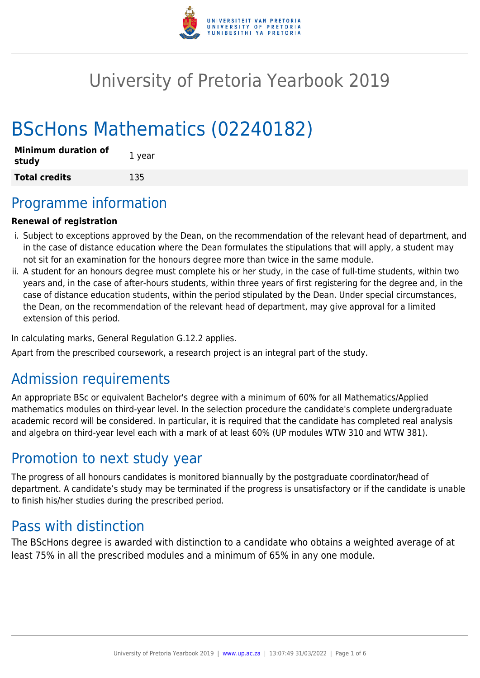

# University of Pretoria Yearbook 2019

# BScHons Mathematics (02240182)

| <b>Minimum duration of</b><br>study | 1 year |
|-------------------------------------|--------|
| <b>Total credits</b>                | 135    |

# Programme information

### **Renewal of registration**

- i. Subject to exceptions approved by the Dean, on the recommendation of the relevant head of department, and in the case of distance education where the Dean formulates the stipulations that will apply, a student may not sit for an examination for the honours degree more than twice in the same module.
- ii. A student for an honours degree must complete his or her study, in the case of full-time students, within two years and, in the case of after-hours students, within three years of first registering for the degree and, in the case of distance education students, within the period stipulated by the Dean. Under special circumstances, the Dean, on the recommendation of the relevant head of department, may give approval for a limited extension of this period.

In calculating marks, General Regulation G.12.2 applies.

Apart from the prescribed coursework, a research project is an integral part of the study.

# Admission requirements

An appropriate BSc or equivalent Bachelor's degree with a minimum of 60% for all Mathematics/Applied mathematics modules on third-year level. In the selection procedure the candidate's complete undergraduate academic record will be considered. In particular, it is required that the candidate has completed real analysis and algebra on third-year level each with a mark of at least 60% (UP modules WTW 310 and WTW 381).

# Promotion to next study year

The progress of all honours candidates is monitored biannually by the postgraduate coordinator/head of department. A candidate's study may be terminated if the progress is unsatisfactory or if the candidate is unable to finish his/her studies during the prescribed period.

# Pass with distinction

The BScHons degree is awarded with distinction to a candidate who obtains a weighted average of at least 75% in all the prescribed modules and a minimum of 65% in any one module.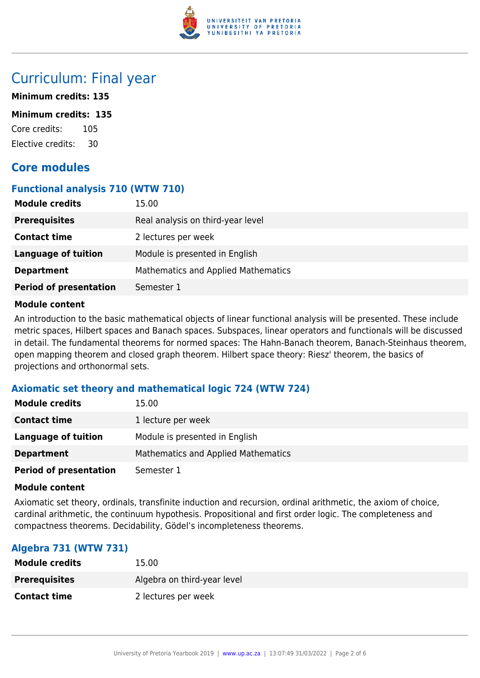

# Curriculum: Final year

### **Minimum credits: 135**

#### **Minimum credits: 135**

Core credits: 105 Elective credits: 30

# **Core modules**

### **Functional analysis 710 (WTW 710)**

| <b>Module credits</b>         | 15.00                                      |
|-------------------------------|--------------------------------------------|
| <b>Prerequisites</b>          | Real analysis on third-year level          |
| <b>Contact time</b>           | 2 lectures per week                        |
| Language of tuition           | Module is presented in English             |
| <b>Department</b>             | <b>Mathematics and Applied Mathematics</b> |
| <b>Period of presentation</b> | Semester 1                                 |

#### **Module content**

An introduction to the basic mathematical objects of linear functional analysis will be presented. These include metric spaces, Hilbert spaces and Banach spaces. Subspaces, linear operators and functionals will be discussed in detail. The fundamental theorems for normed spaces: The Hahn-Banach theorem, Banach-Steinhaus theorem, open mapping theorem and closed graph theorem. Hilbert space theory: Riesz' theorem, the basics of projections and orthonormal sets.

# **Axiomatic set theory and mathematical logic 724 (WTW 724)**

| <b>Module credits</b>         | 15.00                               |
|-------------------------------|-------------------------------------|
| <b>Contact time</b>           | 1 lecture per week                  |
| Language of tuition           | Module is presented in English      |
| <b>Department</b>             | Mathematics and Applied Mathematics |
| <b>Period of presentation</b> | Semester 1                          |

### **Module content**

Axiomatic set theory, ordinals, transfinite induction and recursion, ordinal arithmetic, the axiom of choice, cardinal arithmetic, the continuum hypothesis. Propositional and first order logic. The completeness and compactness theorems. Decidability, Gödel's incompleteness theorems.

# **Algebra 731 (WTW 731)**

| <b>Module credits</b> | 15.00                       |
|-----------------------|-----------------------------|
| <b>Prerequisites</b>  | Algebra on third-year level |
| <b>Contact time</b>   | 2 lectures per week         |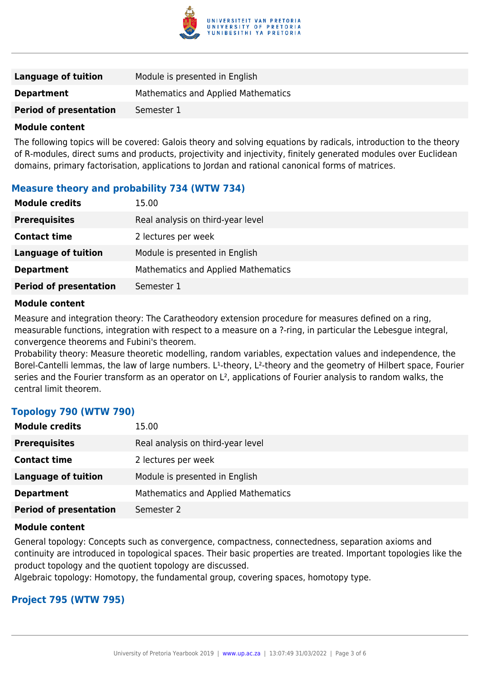

| Language of tuition           | Module is presented in English      |
|-------------------------------|-------------------------------------|
| <b>Department</b>             | Mathematics and Applied Mathematics |
| <b>Period of presentation</b> | Semester 1                          |
|                               |                                     |

#### **Module content**

The following topics will be covered: Galois theory and solving equations by radicals, introduction to the theory of R-modules, direct sums and products, projectivity and injectivity, finitely generated modules over Euclidean domains, primary factorisation, applications to Jordan and rational canonical forms of matrices.

# **Measure theory and probability 734 (WTW 734)**

| <b>Module credits</b>         | 15.00                               |
|-------------------------------|-------------------------------------|
| <b>Prerequisites</b>          | Real analysis on third-year level   |
| <b>Contact time</b>           | 2 lectures per week                 |
| <b>Language of tuition</b>    | Module is presented in English      |
| <b>Department</b>             | Mathematics and Applied Mathematics |
| <b>Period of presentation</b> | Semester 1                          |

#### **Module content**

Measure and integration theory: The Caratheodory extension procedure for measures defined on a ring, measurable functions, integration with respect to a measure on a ?-ring, in particular the Lebesgue integral, convergence theorems and Fubini's theorem.

Probability theory: Measure theoretic modelling, random variables, expectation values and independence, the Borel-Cantelli lemmas, the law of large numbers. L<sup>1</sup>-theory, L<sup>2</sup>-theory and the geometry of Hilbert space, Fourier series and the Fourier transform as an operator on L<sup>2</sup>, applications of Fourier analysis to random walks, the central limit theorem.

# **Topology 790 (WTW 790)**

| <b>Module credits</b>         | 15.00                               |
|-------------------------------|-------------------------------------|
| <b>Prerequisites</b>          | Real analysis on third-year level   |
| <b>Contact time</b>           | 2 lectures per week                 |
| <b>Language of tuition</b>    | Module is presented in English      |
| <b>Department</b>             | Mathematics and Applied Mathematics |
| <b>Period of presentation</b> | Semester 2                          |

#### **Module content**

General topology: Concepts such as convergence, compactness, connectedness, separation axioms and continuity are introduced in topological spaces. Their basic properties are treated. Important topologies like the product topology and the quotient topology are discussed.

Algebraic topology: Homotopy, the fundamental group, covering spaces, homotopy type.

### **Project 795 (WTW 795)**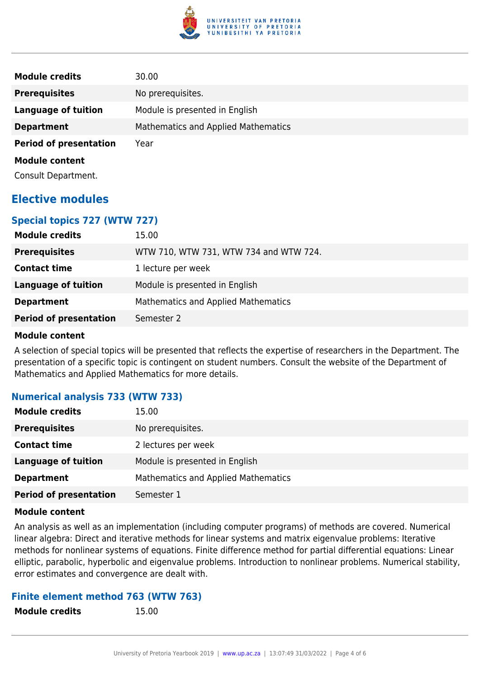

| <b>Module credits</b>         | 30.00                                      |
|-------------------------------|--------------------------------------------|
| <b>Prerequisites</b>          | No prerequisites.                          |
| <b>Language of tuition</b>    | Module is presented in English             |
| <b>Department</b>             | <b>Mathematics and Applied Mathematics</b> |
| <b>Period of presentation</b> | Year                                       |
| <b>Module content</b>         |                                            |
| Consult Department.           |                                            |

# **Elective modules**

# **Special topics 727 (WTW 727)**

| 15.00                                  |
|----------------------------------------|
| WTW 710, WTW 731, WTW 734 and WTW 724. |
| 1 lecture per week                     |
| Module is presented in English         |
| Mathematics and Applied Mathematics    |
| Semester 2                             |
|                                        |

### **Module content**

A selection of special topics will be presented that reflects the expertise of researchers in the Department. The presentation of a specific topic is contingent on student numbers. Consult the website of the Department of Mathematics and Applied Mathematics for more details.

# **Numerical analysis 733 (WTW 733)**

| <b>Module credits</b>         | 15.00                                      |
|-------------------------------|--------------------------------------------|
| <b>Prerequisites</b>          | No prerequisites.                          |
| <b>Contact time</b>           | 2 lectures per week                        |
| <b>Language of tuition</b>    | Module is presented in English             |
| <b>Department</b>             | <b>Mathematics and Applied Mathematics</b> |
| <b>Period of presentation</b> | Semester 1                                 |

### **Module content**

An analysis as well as an implementation (including computer programs) of methods are covered. Numerical linear algebra: Direct and iterative methods for linear systems and matrix eigenvalue problems: Iterative methods for nonlinear systems of equations. Finite difference method for partial differential equations: Linear elliptic, parabolic, hyperbolic and eigenvalue problems. Introduction to nonlinear problems. Numerical stability, error estimates and convergence are dealt with.

# **Finite element method 763 (WTW 763)**

**Module credits** 15.00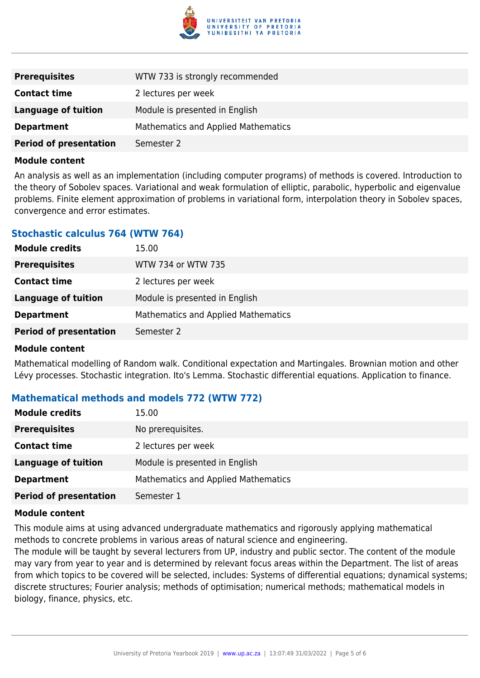

| <b>Prerequisites</b>          | WTW 733 is strongly recommended            |
|-------------------------------|--------------------------------------------|
| <b>Contact time</b>           | 2 lectures per week                        |
| Language of tuition           | Module is presented in English             |
| <b>Department</b>             | <b>Mathematics and Applied Mathematics</b> |
| <b>Period of presentation</b> | Semester 2                                 |

#### **Module content**

An analysis as well as an implementation (including computer programs) of methods is covered. Introduction to the theory of Sobolev spaces. Variational and weak formulation of elliptic, parabolic, hyperbolic and eigenvalue problems. Finite element approximation of problems in variational form, interpolation theory in Sobolev spaces, convergence and error estimates.

### **Stochastic calculus 764 (WTW 764)**

| <b>Module credits</b>         | 15.00                               |
|-------------------------------|-------------------------------------|
| <b>Prerequisites</b>          | WTW 734 or WTW 735                  |
| <b>Contact time</b>           | 2 lectures per week                 |
| Language of tuition           | Module is presented in English      |
| <b>Department</b>             | Mathematics and Applied Mathematics |
| <b>Period of presentation</b> | Semester 2                          |
|                               |                                     |

#### **Module content**

Mathematical modelling of Random walk. Conditional expectation and Martingales. Brownian motion and other Lévy processes. Stochastic integration. Ito's Lemma. Stochastic differential equations. Application to finance.

### **Mathematical methods and models 772 (WTW 772)**

| <b>Module credits</b>         | 15.00                                      |
|-------------------------------|--------------------------------------------|
| <b>Prerequisites</b>          | No prerequisites.                          |
| <b>Contact time</b>           | 2 lectures per week                        |
| <b>Language of tuition</b>    | Module is presented in English             |
| <b>Department</b>             | <b>Mathematics and Applied Mathematics</b> |
| <b>Period of presentation</b> | Semester 1                                 |

#### **Module content**

This module aims at using advanced undergraduate mathematics and rigorously applying mathematical methods to concrete problems in various areas of natural science and engineering.

The module will be taught by several lecturers from UP, industry and public sector. The content of the module may vary from year to year and is determined by relevant focus areas within the Department. The list of areas from which topics to be covered will be selected, includes: Systems of differential equations; dynamical systems; discrete structures; Fourier analysis; methods of optimisation; numerical methods; mathematical models in biology, finance, physics, etc.